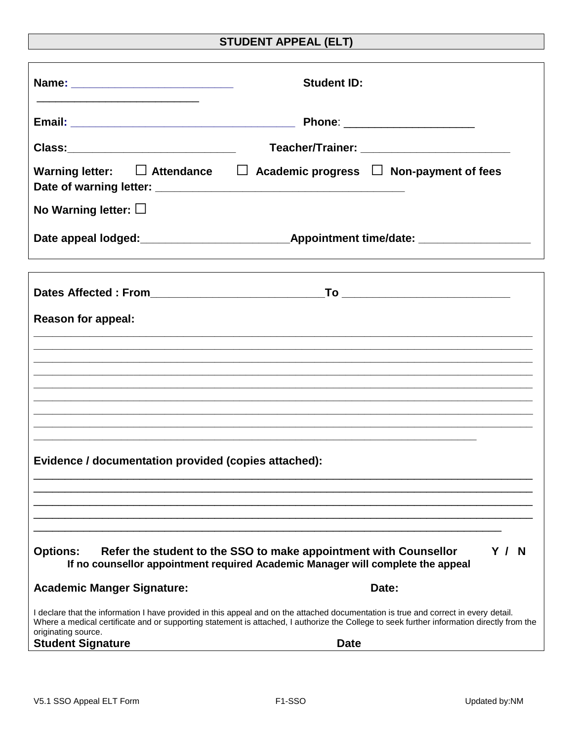## **STUDENT APPEAL (ELT)**

|                                                                                                                                                                               | <b>Student ID:</b>                                                                                                                                                                                                                                                                                |  |
|-------------------------------------------------------------------------------------------------------------------------------------------------------------------------------|---------------------------------------------------------------------------------------------------------------------------------------------------------------------------------------------------------------------------------------------------------------------------------------------------|--|
|                                                                                                                                                                               | Phone: ______________________                                                                                                                                                                                                                                                                     |  |
| Class:______________________________                                                                                                                                          | Teacher/Trainer: ___________________________                                                                                                                                                                                                                                                      |  |
|                                                                                                                                                                               | Warning letter: $\Box$ Attendance $\Box$ Academic progress $\Box$ Non-payment of fees                                                                                                                                                                                                             |  |
| No Warning letter: $\Box$                                                                                                                                                     |                                                                                                                                                                                                                                                                                                   |  |
|                                                                                                                                                                               |                                                                                                                                                                                                                                                                                                   |  |
|                                                                                                                                                                               |                                                                                                                                                                                                                                                                                                   |  |
| <b>Reason for appeal:</b>                                                                                                                                                     |                                                                                                                                                                                                                                                                                                   |  |
|                                                                                                                                                                               |                                                                                                                                                                                                                                                                                                   |  |
|                                                                                                                                                                               |                                                                                                                                                                                                                                                                                                   |  |
|                                                                                                                                                                               |                                                                                                                                                                                                                                                                                                   |  |
|                                                                                                                                                                               |                                                                                                                                                                                                                                                                                                   |  |
| Evidence / documentation provided (copies attached):                                                                                                                          |                                                                                                                                                                                                                                                                                                   |  |
|                                                                                                                                                                               |                                                                                                                                                                                                                                                                                                   |  |
| Refer the student to the SSO to make appointment with Counsellor<br>Y/N<br><b>Options:</b><br>If no counsellor appointment required Academic Manager will complete the appeal |                                                                                                                                                                                                                                                                                                   |  |
| <b>Academic Manger Signature:</b>                                                                                                                                             | Date:                                                                                                                                                                                                                                                                                             |  |
| originating source.<br><b>Student Signature</b>                                                                                                                               | I declare that the information I have provided in this appeal and on the attached documentation is true and correct in every detail.<br>Where a medical certificate and or supporting statement is attached, I authorize the College to seek further information directly from the<br><b>Date</b> |  |